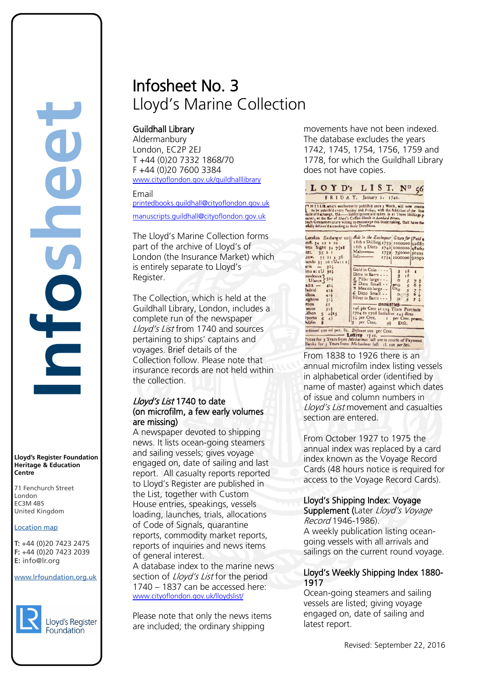**Lloyd's Register Foundation Heritage & Education Centre**

71 Fenchurch Street London Information Services EC3M 4BS United Kingdom EC3M 4BS

#### Location map

T: +44 (0)20 7423 2475 **F:** +44 (0)20 7423 2039 Fax: +44 (0)20 7423 2039 **E:** info@lr.org  $F \rightarrow (0/20, 1 + 2)$ 

#### www.lrfoundation.org.uk



# Infosheet No. 3 Lloyd's Marine Collection

# Guildhall Library

Aldermanbury London, EC2P 2EJ T +44 (0)20 7332 1868/70 F +44 (0)20 7600 3384 [www.cityoflondon.gov.uk/guildhalllibrary](http://www.cityoflondon.gov.uk/guildhalllibrary)

#### Email

[printedbooks.guildhall@cityoflondon.gov.uk](mailto:printedbooks.guildhall@cityoflondon.gov.uk) 

[manuscripts.guildhall@cityoflondon.gov.uk](mailto:manuscripts.guildhall@cityoflondon.gov.uk)

The Lloyd's Marine Collection forms part of the archive of Lloyd's of London (the Insurance Market) which is entirely separate to Lloyd's Register.

The Collection, which is held at the Guildhall Library, London, includes a complete run of the newspaper Lloyd's List from 1740 and sources pertaining to ships' captains and voyages. Brief details of the Collection follow. Please note that insurance records are not held within the collection.

## Lloyd's List 1740 to date (on microfilm, a few early volumes are missing)

A newspaper devoted to shipping news. It lists ocean-going steamers and sailing vessels; gives voyage engaged on, date of sailing and last report. All casualty reports reported to Lloyd's Register are published in the List, together with Custom House entries, speakings, vessels loading, launches, trials, allocations of Code of Signals, quarantine reports, commodity market reports, reports of inquiries and news items of general interest.

A database index to the marine news section of *Lloyd's List* for the period 1740 – 1837 can be accessed here: www.cityoflondon.gov.uk/lloydslist/

Please note that only the news items are included; the ordinary shipping

movements have not been indexed. The database excludes the years 1742, 1745, 1754, 1756, 1759 and 1778, for which the Guildhall Library does not have copies.

| HISLik, which was formerly publifh'd once a Week, will now contin<br>to be publish'd every Tuefday and Friday, with the Addition of the Ston<br>surfe of Exchange, Ue .- Subfcriptions are taken in at Three Shillings p.<br>sarter, at the Bar of Lloyd's Coffee-Houle in Lombard-Street. |                                                                                                  |                                                                                                                                                                                                                                                                                                                                                                                                                                                                                                                                                                                                          |
|--------------------------------------------------------------------------------------------------------------------------------------------------------------------------------------------------------------------------------------------------------------------------------------------|--------------------------------------------------------------------------------------------------|----------------------------------------------------------------------------------------------------------------------------------------------------------------------------------------------------------------------------------------------------------------------------------------------------------------------------------------------------------------------------------------------------------------------------------------------------------------------------------------------------------------------------------------------------------------------------------------------------------|
| chilly deliver'd according to their Directions.                                                                                                                                                                                                                                            | Such Gentlemenas are willing to encourage this Undertaking, fhall have the                       |                                                                                                                                                                                                                                                                                                                                                                                                                                                                                                                                                                                                          |
|                                                                                                                                                                                                                                                                                            |                                                                                                  |                                                                                                                                                                                                                                                                                                                                                                                                                                                                                                                                                                                                          |
|                                                                                                                                                                                                                                                                                            |                                                                                                  |                                                                                                                                                                                                                                                                                                                                                                                                                                                                                                                                                                                                          |
|                                                                                                                                                                                                                                                                                            |                                                                                                  |                                                                                                                                                                                                                                                                                                                                                                                                                                                                                                                                                                                                          |
|                                                                                                                                                                                                                                                                                            |                                                                                                  |                                                                                                                                                                                                                                                                                                                                                                                                                                                                                                                                                                                                          |
|                                                                                                                                                                                                                                                                                            |                                                                                                  |                                                                                                                                                                                                                                                                                                                                                                                                                                                                                                                                                                                                          |
|                                                                                                                                                                                                                                                                                            |                                                                                                  |                                                                                                                                                                                                                                                                                                                                                                                                                                                                                                                                                                                                          |
|                                                                                                                                                                                                                                                                                            |                                                                                                  |                                                                                                                                                                                                                                                                                                                                                                                                                                                                                                                                                                                                          |
|                                                                                                                                                                                                                                                                                            |                                                                                                  |                                                                                                                                                                                                                                                                                                                                                                                                                                                                                                                                                                                                          |
|                                                                                                                                                                                                                                                                                            |                                                                                                  |                                                                                                                                                                                                                                                                                                                                                                                                                                                                                                                                                                                                          |
|                                                                                                                                                                                                                                                                                            |                                                                                                  |                                                                                                                                                                                                                                                                                                                                                                                                                                                                                                                                                                                                          |
|                                                                                                                                                                                                                                                                                            |                                                                                                  |                                                                                                                                                                                                                                                                                                                                                                                                                                                                                                                                                                                                          |
|                                                                                                                                                                                                                                                                                            |                                                                                                  |                                                                                                                                                                                                                                                                                                                                                                                                                                                                                                                                                                                                          |
|                                                                                                                                                                                                                                                                                            |                                                                                                  | 7.4                                                                                                                                                                                                                                                                                                                                                                                                                                                                                                                                                                                                      |
|                                                                                                                                                                                                                                                                                            |                                                                                                  |                                                                                                                                                                                                                                                                                                                                                                                                                                                                                                                                                                                                          |
|                                                                                                                                                                                                                                                                                            |                                                                                                  |                                                                                                                                                                                                                                                                                                                                                                                                                                                                                                                                                                                                          |
|                                                                                                                                                                                                                                                                                            |                                                                                                  |                                                                                                                                                                                                                                                                                                                                                                                                                                                                                                                                                                                                          |
|                                                                                                                                                                                                                                                                                            |                                                                                                  |                                                                                                                                                                                                                                                                                                                                                                                                                                                                                                                                                                                                          |
|                                                                                                                                                                                                                                                                                            |                                                                                                  |                                                                                                                                                                                                                                                                                                                                                                                                                                                                                                                                                                                                          |
|                                                                                                                                                                                                                                                                                            | Salt<br>Ditto in Barrs - - -<br>Pillar large - - -<br>C Ditto Small - -<br>Silver in Barrs - - - | Aids in the Exchequer, Gruen for [Paid a<br>18th 2 Shilling 1739 1000000 92680<br>18th 4 Ditto 1740 2000000 48160<br>Malt-1739 750000 50101<br>1734 1000000 91050<br>Gold in Coin - - - - "<br>18<br>$\overline{\mathbf{3}}$<br>r<br>$\overline{3}$<br>18<br>$\circ$<br>5<br>Ditto Small - -<br>$\overline{5}$<br><b>MY O</b><br>8 Mexico large --<br>$Ot_{Q}$<br>$\overline{5}$<br>$\overline{5}$<br>$\Omega$<br>$\circ$<br>$\boldsymbol{\zeta}$<br>$\sim$ annuffles<br>144. per Cent at 222 Years Purchafe<br>1704 to 1708 Inclufive 14; ditto<br>3; per Cent. 1 per Cent. præm.<br>per Cent. 51 Difc. |

From 1838 to 1926 there is an annual microfilm index listing vessels in alphabetical order (identified by name of master) against which dates of issue and column numbers in Lloyd's List movement and casualties section are entered.

From October 1927 to 1975 the annual index was replaced by a card index known as the Voyage Record Cards (48 hours notice is required for access to the Voyage Record Cards).

# Lloyd's Shipping Index: Voyage

Supplement (Later Lloyd's Voyage Record 1946-1986). A weekly publication listing oceangoing vessels with all arrivals and sailings on the current round voyage.

## Lloyd's Weekly Shipping Index 1880- 1917

Ocean-going steamers and sailing vessels are listed; giving voyage engaged on, date of sailing and latest report.